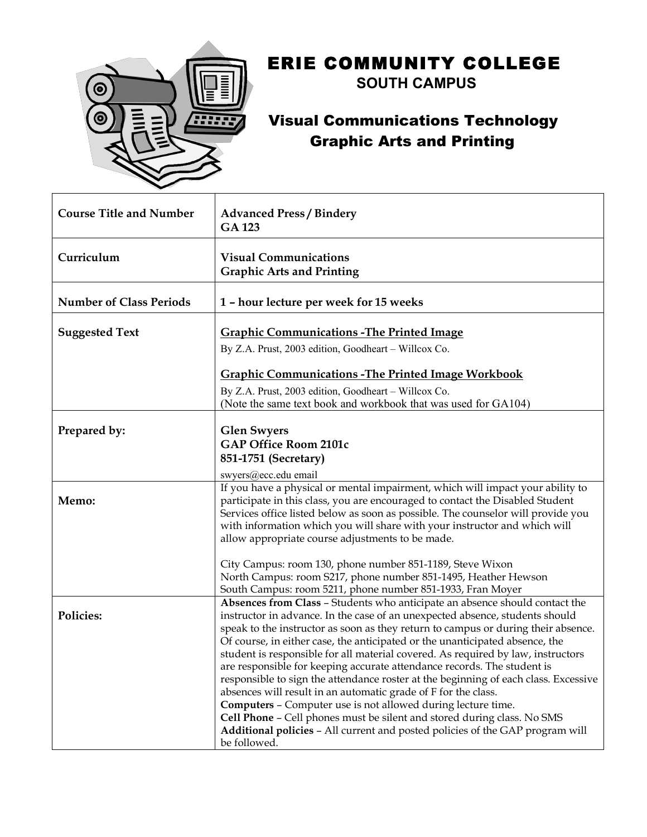

# ERIE COMMUNITY COLLEGE

**SOUTH CAMPUS**

### Visual Communications Technology Graphic Arts and Printing

| <b>Course Title and Number</b> | <b>Advanced Press / Bindery</b><br><b>GA 123</b>                                                                                                                                                                                                                                                                                                                                     |
|--------------------------------|--------------------------------------------------------------------------------------------------------------------------------------------------------------------------------------------------------------------------------------------------------------------------------------------------------------------------------------------------------------------------------------|
| Curriculum                     | <b>Visual Communications</b><br><b>Graphic Arts and Printing</b>                                                                                                                                                                                                                                                                                                                     |
| <b>Number of Class Periods</b> | 1 - hour lecture per week for 15 weeks                                                                                                                                                                                                                                                                                                                                               |
| <b>Suggested Text</b>          | <b>Graphic Communications - The Printed Image</b>                                                                                                                                                                                                                                                                                                                                    |
|                                | By Z.A. Prust, 2003 edition, Goodheart - Willcox Co.                                                                                                                                                                                                                                                                                                                                 |
|                                | <b>Graphic Communications - The Printed Image Workbook</b>                                                                                                                                                                                                                                                                                                                           |
|                                | By Z.A. Prust, 2003 edition, Goodheart - Willcox Co.                                                                                                                                                                                                                                                                                                                                 |
|                                | (Note the same text book and workbook that was used for GA104)                                                                                                                                                                                                                                                                                                                       |
| Prepared by:                   | <b>Glen Swyers</b>                                                                                                                                                                                                                                                                                                                                                                   |
|                                | <b>GAP Office Room 2101c</b>                                                                                                                                                                                                                                                                                                                                                         |
|                                | 851-1751 (Secretary)                                                                                                                                                                                                                                                                                                                                                                 |
|                                | swyers@ecc.edu email                                                                                                                                                                                                                                                                                                                                                                 |
| Memo:                          | If you have a physical or mental impairment, which will impact your ability to<br>participate in this class, you are encouraged to contact the Disabled Student<br>Services office listed below as soon as possible. The counselor will provide you<br>with information which you will share with your instructor and which will<br>allow appropriate course adjustments to be made. |
|                                | City Campus: room 130, phone number 851-1189, Steve Wixon                                                                                                                                                                                                                                                                                                                            |
|                                | North Campus: room S217, phone number 851-1495, Heather Hewson                                                                                                                                                                                                                                                                                                                       |
|                                | South Campus: room 5211, phone number 851-1933, Fran Moyer                                                                                                                                                                                                                                                                                                                           |
| Policies:                      | Absences from Class - Students who anticipate an absence should contact the<br>instructor in advance. In the case of an unexpected absence, students should<br>speak to the instructor as soon as they return to campus or during their absence.                                                                                                                                     |
|                                | Of course, in either case, the anticipated or the unanticipated absence, the<br>student is responsible for all material covered. As required by law, instructors                                                                                                                                                                                                                     |
|                                | are responsible for keeping accurate attendance records. The student is                                                                                                                                                                                                                                                                                                              |
|                                | responsible to sign the attendance roster at the beginning of each class. Excessive<br>absences will result in an automatic grade of F for the class.                                                                                                                                                                                                                                |
|                                | <b>Computers - Computer use is not allowed during lecture time.</b>                                                                                                                                                                                                                                                                                                                  |
|                                | Cell Phone - Cell phones must be silent and stored during class. No SMS                                                                                                                                                                                                                                                                                                              |
|                                | Additional policies - All current and posted policies of the GAP program will<br>be followed.                                                                                                                                                                                                                                                                                        |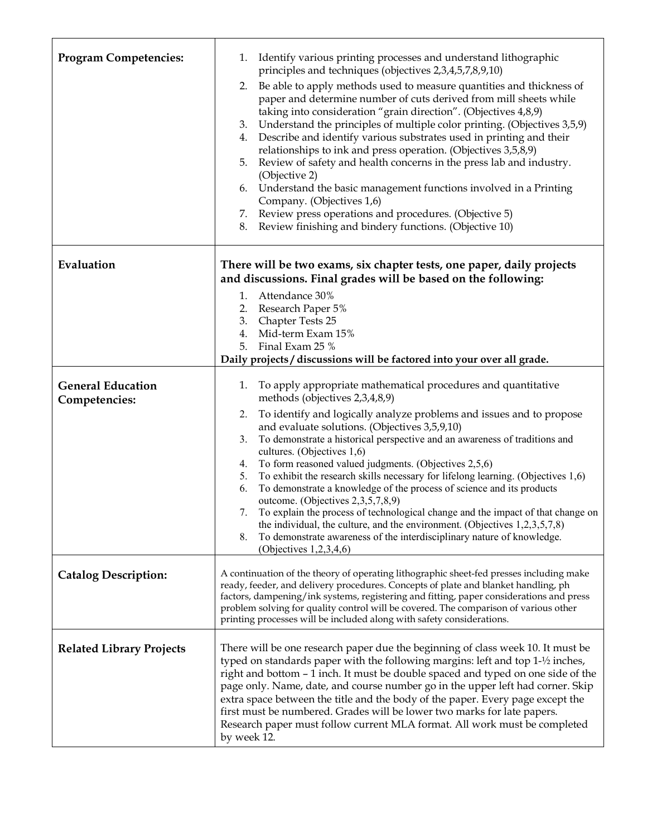| <b>Program Competencies:</b>              | 1. Identify various printing processes and understand lithographic<br>principles and techniques (objectives 2,3,4,5,7,8,9,10)<br>Be able to apply methods used to measure quantities and thickness of<br>2.<br>paper and determine number of cuts derived from mill sheets while<br>taking into consideration "grain direction". (Objectives 4,8,9)<br>Understand the principles of multiple color printing. (Objectives 3,5,9)<br>3.<br>Describe and identify various substrates used in printing and their<br>4.<br>relationships to ink and press operation. (Objectives 3,5,8,9)<br>Review of safety and health concerns in the press lab and industry.<br>5.<br>(Objective 2)<br>6. Understand the basic management functions involved in a Printing<br>Company. (Objectives 1,6)<br>Review press operations and procedures. (Objective 5)<br>7.<br>Review finishing and bindery functions. (Objective 10)<br>8.      |
|-------------------------------------------|----------------------------------------------------------------------------------------------------------------------------------------------------------------------------------------------------------------------------------------------------------------------------------------------------------------------------------------------------------------------------------------------------------------------------------------------------------------------------------------------------------------------------------------------------------------------------------------------------------------------------------------------------------------------------------------------------------------------------------------------------------------------------------------------------------------------------------------------------------------------------------------------------------------------------|
| Evaluation                                | There will be two exams, six chapter tests, one paper, daily projects<br>and discussions. Final grades will be based on the following:<br>1. Attendance 30%<br>Research Paper 5%<br>2.<br>Chapter Tests 25<br>3.<br>Mid-term Exam 15%<br>4.<br>Final Exam 25 %<br>5.                                                                                                                                                                                                                                                                                                                                                                                                                                                                                                                                                                                                                                                       |
|                                           | Daily projects / discussions will be factored into your over all grade.                                                                                                                                                                                                                                                                                                                                                                                                                                                                                                                                                                                                                                                                                                                                                                                                                                                    |
| <b>General Education</b><br>Competencies: | To apply appropriate mathematical procedures and quantitative<br>1.<br>methods (objectives 2,3,4,8,9)<br>To identify and logically analyze problems and issues and to propose<br>2.<br>and evaluate solutions. (Objectives 3,5,9,10)<br>To demonstrate a historical perspective and an awareness of traditions and<br>3.<br>cultures. (Objectives 1,6)<br>To form reasoned valued judgments. (Objectives 2,5,6)<br>4.<br>To exhibit the research skills necessary for lifelong learning. (Objectives 1,6)<br>5.<br>To demonstrate a knowledge of the process of science and its products<br>6.<br>outcome. (Objectives 2,3,5,7,8,9)<br>To explain the process of technological change and the impact of that change on<br>7.<br>the individual, the culture, and the environment. (Objectives $1,2,3,5,7,8$ )<br>To demonstrate awareness of the interdisciplinary nature of knowledge.<br>8.<br>(Objectives $1,2,3,4,6$ ) |
| <b>Catalog Description:</b>               | A continuation of the theory of operating lithographic sheet-fed presses including make<br>ready, feeder, and delivery procedures. Concepts of plate and blanket handling, ph<br>factors, dampening/ink systems, registering and fitting, paper considerations and press<br>problem solving for quality control will be covered. The comparison of various other<br>printing processes will be included along with safety considerations.                                                                                                                                                                                                                                                                                                                                                                                                                                                                                  |
| <b>Related Library Projects</b>           | There will be one research paper due the beginning of class week 10. It must be<br>typed on standards paper with the following margins: left and top 1-1/2 inches,<br>right and bottom - 1 inch. It must be double spaced and typed on one side of the<br>page only. Name, date, and course number go in the upper left had corner. Skip<br>extra space between the title and the body of the paper. Every page except the<br>first must be numbered. Grades will be lower two marks for late papers.<br>Research paper must follow current MLA format. All work must be completed<br>by week 12.                                                                                                                                                                                                                                                                                                                          |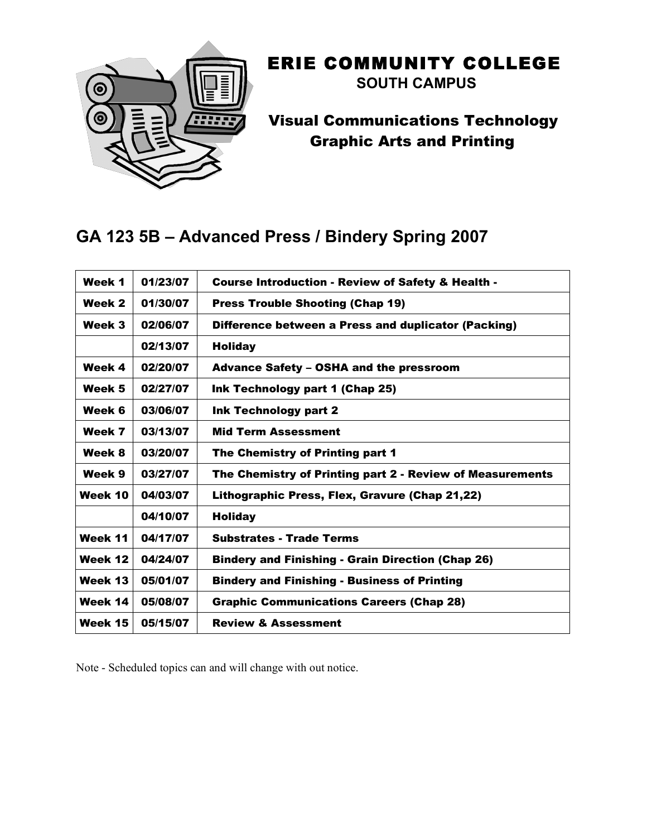

## ERIE COMMUNITY COLLEGE

**SOUTH CAMPUS**

#### Visual Communications Technology Graphic Arts and Printing

### **GA 123 5B – Advanced Press / Bindery Spring 2007**

| Week 1  | 01/23/07 | <b>Course Introduction - Review of Safety &amp; Health -</b> |
|---------|----------|--------------------------------------------------------------|
| Week 2  | 01/30/07 | <b>Press Trouble Shooting (Chap 19)</b>                      |
| Week 3  | 02/06/07 | Difference between a Press and duplicator (Packing)          |
|         | 02/13/07 | <b>Holiday</b>                                               |
| Week 4  | 02/20/07 | <b>Advance Safety - OSHA and the pressroom</b>               |
| Week 5  | 02/27/07 | Ink Technology part 1 (Chap 25)                              |
| Week 6  | 03/06/07 | <b>Ink Technology part 2</b>                                 |
| Week 7  | 03/13/07 | <b>Mid Term Assessment</b>                                   |
| Week 8  | 03/20/07 | The Chemistry of Printing part 1                             |
| Week 9  | 03/27/07 | The Chemistry of Printing part 2 - Review of Measurements    |
| Week 10 | 04/03/07 | Lithographic Press, Flex, Gravure (Chap 21,22)               |
|         | 04/10/07 | <b>Holiday</b>                                               |
| Week 11 | 04/17/07 | <b>Substrates - Trade Terms</b>                              |
| Week 12 | 04/24/07 | <b>Bindery and Finishing - Grain Direction (Chap 26)</b>     |
| Week 13 | 05/01/07 | <b>Bindery and Finishing - Business of Printing</b>          |
| Week 14 | 05/08/07 | <b>Graphic Communications Careers (Chap 28)</b>              |
| Week 15 | 05/15/07 | <b>Review &amp; Assessment</b>                               |

Note - Scheduled topics can and will change with out notice.